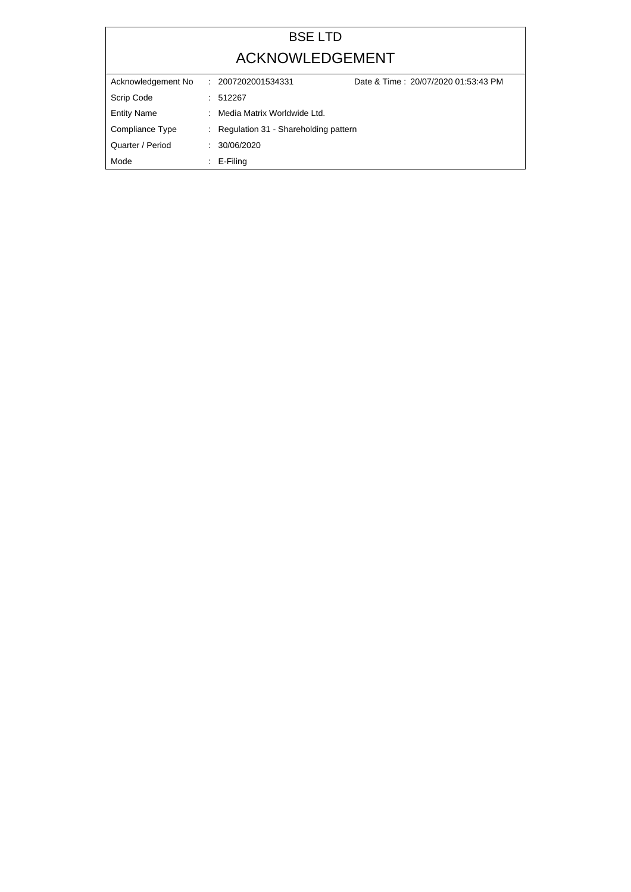## BSE LTD ACKNOWLEDGEMENT

| Acknowledgement No | Date & Time: 20/07/2020 01:53:43 PM<br>: 2007202001534331 |  |
|--------------------|-----------------------------------------------------------|--|
| Scrip Code         | : 512267                                                  |  |
| <b>Entity Name</b> | : Media Matrix Worldwide Ltd.                             |  |
| Compliance Type    | : Regulation 31 - Shareholding pattern                    |  |
| Quarter / Period   | : 30/06/2020                                              |  |
| Mode               | $\therefore$ E-Filing                                     |  |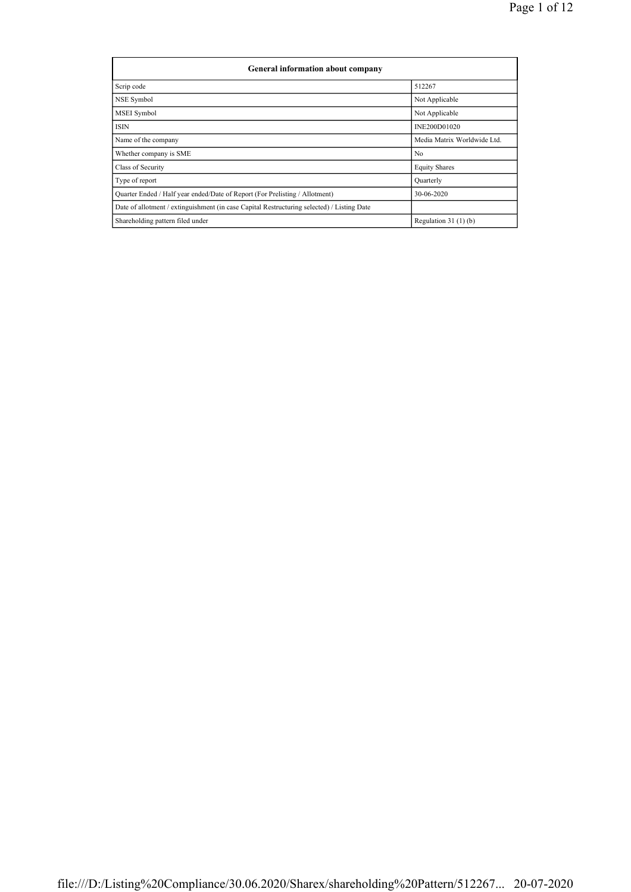| General information about company                                                          |                             |  |  |  |  |  |
|--------------------------------------------------------------------------------------------|-----------------------------|--|--|--|--|--|
| Scrip code                                                                                 | 512267                      |  |  |  |  |  |
| NSE Symbol                                                                                 | Not Applicable              |  |  |  |  |  |
| MSEI Symbol                                                                                | Not Applicable              |  |  |  |  |  |
| <b>ISIN</b>                                                                                | INE200D01020                |  |  |  |  |  |
| Name of the company                                                                        | Media Matrix Worldwide Ltd. |  |  |  |  |  |
| Whether company is SME                                                                     | N <sub>0</sub>              |  |  |  |  |  |
| Class of Security                                                                          | <b>Equity Shares</b>        |  |  |  |  |  |
| Type of report                                                                             | Quarterly                   |  |  |  |  |  |
| Quarter Ended / Half year ended/Date of Report (For Prelisting / Allotment)                | 30-06-2020                  |  |  |  |  |  |
| Date of allotment / extinguishment (in case Capital Restructuring selected) / Listing Date |                             |  |  |  |  |  |
| Shareholding pattern filed under                                                           | Regulation $31(1)(b)$       |  |  |  |  |  |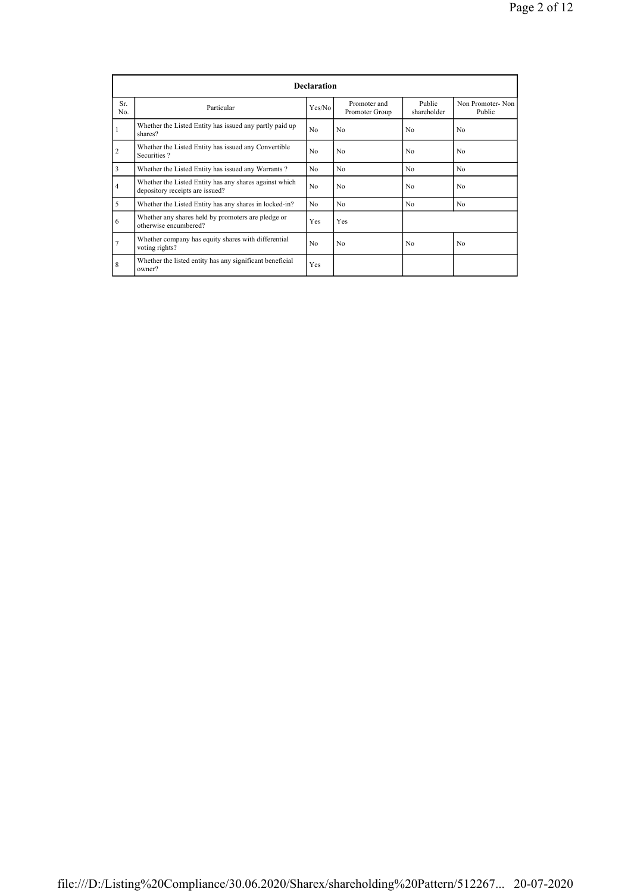|                | <b>Declaration</b>                                                                        |                |                                |                       |                            |  |  |  |
|----------------|-------------------------------------------------------------------------------------------|----------------|--------------------------------|-----------------------|----------------------------|--|--|--|
| Sr<br>No.      | Particular                                                                                | Yes/No         | Promoter and<br>Promoter Group | Public<br>shareholder | Non Promoter-Non<br>Public |  |  |  |
| 1              | Whether the Listed Entity has issued any partly paid up<br>shares?                        | N <sub>0</sub> | N <sub>0</sub>                 | N <sub>0</sub>        | N <sub>0</sub>             |  |  |  |
| $\overline{c}$ | Whether the Listed Entity has issued any Convertible<br>Securities?                       | N <sub>0</sub> | N <sub>0</sub>                 | N <sub>0</sub>        | N <sub>0</sub>             |  |  |  |
| 3              | Whether the Listed Entity has issued any Warrants?                                        | N <sub>0</sub> | N <sub>0</sub>                 | N <sub>0</sub>        | N <sub>0</sub>             |  |  |  |
| 4              | Whether the Listed Entity has any shares against which<br>depository receipts are issued? | N <sub>0</sub> | N <sub>0</sub>                 | N <sub>0</sub>        | N <sub>0</sub>             |  |  |  |
| 5              | Whether the Listed Entity has any shares in locked-in?                                    | N <sub>0</sub> | N <sub>0</sub>                 | N <sub>0</sub>        | N <sub>0</sub>             |  |  |  |
| 6              | Whether any shares held by promoters are pledge or<br>otherwise encumbered?               | Yes            | Yes                            |                       |                            |  |  |  |
|                | Whether company has equity shares with differential<br>voting rights?                     | N <sub>0</sub> | N <sub>0</sub>                 | N <sub>0</sub>        | N <sub>0</sub>             |  |  |  |
| 8              | Whether the listed entity has any significant beneficial<br>owner?                        | Yes            |                                |                       |                            |  |  |  |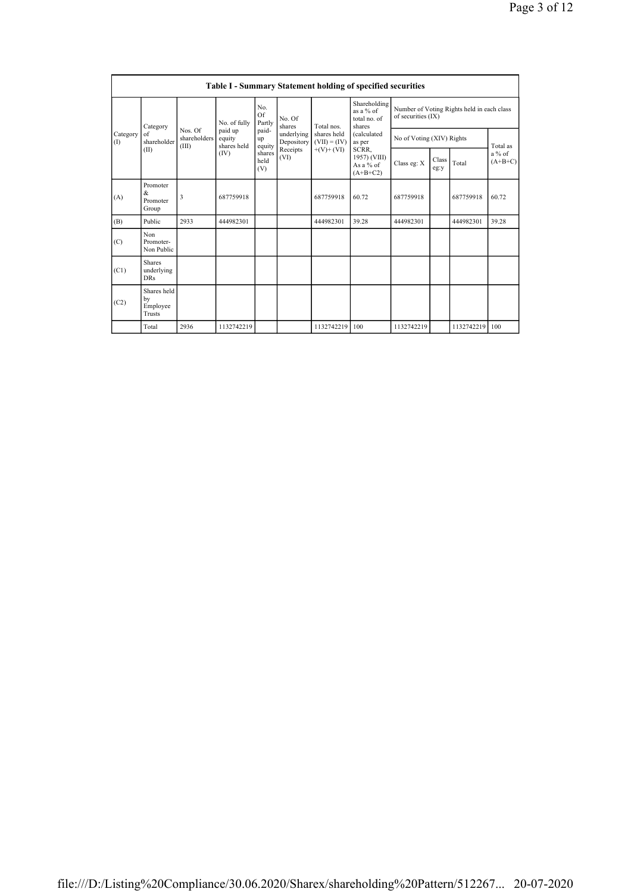|                 | <b>Table I - Summary Statement holding of specified securities</b> |                                 |                                  |                       |                                                                  |                                                           |                                                                                       |                                                                  |               |            |                       |
|-----------------|--------------------------------------------------------------------|---------------------------------|----------------------------------|-----------------------|------------------------------------------------------------------|-----------------------------------------------------------|---------------------------------------------------------------------------------------|------------------------------------------------------------------|---------------|------------|-----------------------|
|                 | Category                                                           |                                 | No. of fully                     | No.<br>Of<br>Partly   | No. Of<br>shares<br>underlying<br>Depository<br>Receipts<br>(VI) | Total nos<br>shares held<br>$(VII) = (IV)$<br>$+(V)+(VI)$ | Shareholding<br>as $a\%$ of<br>total no. of<br>shares<br><i>(calculated</i><br>as per | Number of Voting Rights held in each class<br>of securities (IX) |               |            |                       |
| Category<br>(1) | $\alpha$ f<br>shareholder                                          | Nos Of<br>shareholders<br>(III) | paid up<br>equity<br>shares held | paid-<br>up<br>equity |                                                                  |                                                           |                                                                                       | No of Voting (XIV) Rights                                        |               |            | Total as              |
|                 | (II)                                                               |                                 | (IV)                             | shares<br>held<br>(V) |                                                                  |                                                           | SCRR.<br>1957) (VIII)<br>As a % of<br>$(A+B+C2)$                                      | Class eg: X                                                      | Class<br>eg:y | Total      | $a\%$ of<br>$(A+B+C)$ |
| (A)             | Promoter<br>&<br>Promoter<br>Group                                 | $\overline{\mathbf{3}}$         | 687759918                        |                       |                                                                  | 687759918                                                 | 60 72                                                                                 | 687759918                                                        |               | 687759918  | 60 72                 |
| (B)             | Public                                                             | 2933                            | 444982301                        |                       |                                                                  | 444982301                                                 | 39.28                                                                                 | 444982301                                                        |               | 444982301  | 39.28                 |
| (C)             | Non<br>Promoter-<br>Non Public                                     |                                 |                                  |                       |                                                                  |                                                           |                                                                                       |                                                                  |               |            |                       |
| (C1)            | Shares<br>underlying<br><b>DRs</b>                                 |                                 |                                  |                       |                                                                  |                                                           |                                                                                       |                                                                  |               |            |                       |
| (C2)            | Shares held<br>by<br>Employee<br>Trusts                            |                                 |                                  |                       |                                                                  |                                                           |                                                                                       |                                                                  |               |            |                       |
|                 | Total                                                              | 2936                            | 1132742219                       |                       |                                                                  | 1132742219                                                | 100                                                                                   | 1132742219                                                       |               | 1132742219 | 100                   |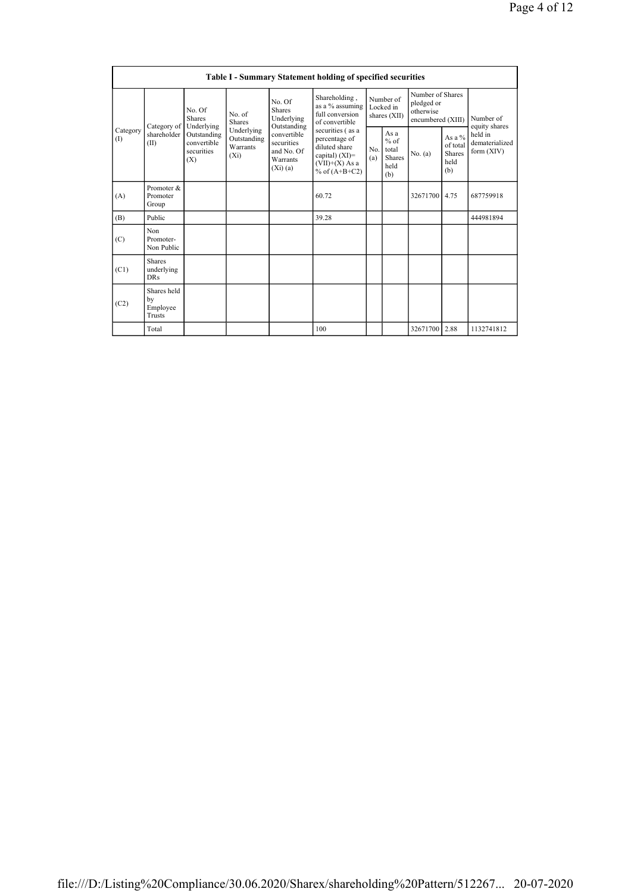|                 | <b>Table I - Summary Statement holding of specified securities</b> |                                                 |                                                  |                                                                |                                                                                                                |                                        |                                                         |                                                                  |                                             |                                                            |
|-----------------|--------------------------------------------------------------------|-------------------------------------------------|--------------------------------------------------|----------------------------------------------------------------|----------------------------------------------------------------------------------------------------------------|----------------------------------------|---------------------------------------------------------|------------------------------------------------------------------|---------------------------------------------|------------------------------------------------------------|
|                 | Category of                                                        | No. Of<br><b>Shares</b><br>Underlying           | No. of<br><b>Shares</b>                          | No. Of<br>Shares<br>Underlying<br>Outstanding                  | Shareholding,<br>as a % assuming<br>full conversion<br>of convertible                                          | Number of<br>Locked in<br>shares (XII) |                                                         | Number of Shares<br>pledged or<br>otherwise<br>encumbered (XIII) |                                             | Number of                                                  |
| Category<br>(I) | shareholder<br>(II)                                                | Outstanding<br>convertible<br>securities<br>(X) | Underlying<br>Outstanding<br>Warrants<br>$(X_i)$ | convertible<br>securities<br>and No. Of<br>Warrants<br>(Xi)(a) | securities (as a<br>percentage of<br>diluted share<br>capital) $(XI)$ =<br>$(VII)+(X)$ As a<br>% of $(A+B+C2)$ | No.<br>(a)                             | As a<br>$%$ of<br>total<br><b>Shares</b><br>held<br>(b) | No. $(a)$                                                        | As a %<br>of total<br>Shares<br>held<br>(b) | equity shares<br>held in<br>dematerialized<br>form $(XIV)$ |
| (A)             | Promoter &<br>Promoter<br>Group                                    |                                                 |                                                  |                                                                | 60.72                                                                                                          |                                        |                                                         | 32671700                                                         | 4.75                                        | 687759918                                                  |
| (B)             | Public                                                             |                                                 |                                                  |                                                                | 39.28                                                                                                          |                                        |                                                         |                                                                  |                                             | 444981894                                                  |
| (C)             | Non<br>Promoter-<br>Non Public                                     |                                                 |                                                  |                                                                |                                                                                                                |                                        |                                                         |                                                                  |                                             |                                                            |
| (C1)            | <b>Shares</b><br>underlying<br><b>DRs</b>                          |                                                 |                                                  |                                                                |                                                                                                                |                                        |                                                         |                                                                  |                                             |                                                            |
| (C2)            | Shares held<br>by<br>Employee<br>Trusts                            |                                                 |                                                  |                                                                |                                                                                                                |                                        |                                                         |                                                                  |                                             |                                                            |
|                 | Total                                                              |                                                 |                                                  |                                                                | 100                                                                                                            |                                        |                                                         | 32671700                                                         | 2.88                                        | 1132741812                                                 |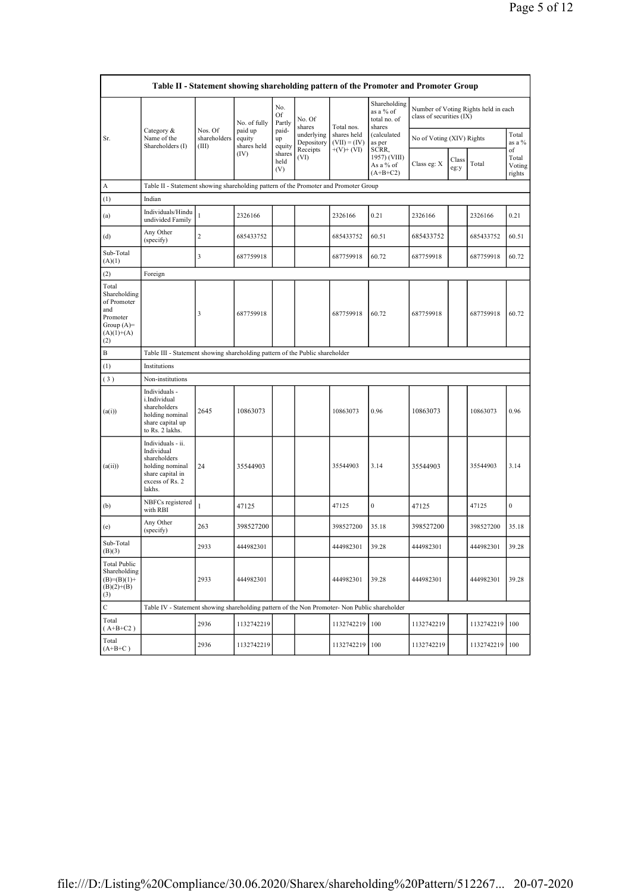|                                                                                                | Table II - Statement showing shareholding pattern of the Promoter and Promoter Group                                |                                                                                 |                                           |                                                                  |                          |                                              |                                                  |                           |               |            |                                 |
|------------------------------------------------------------------------------------------------|---------------------------------------------------------------------------------------------------------------------|---------------------------------------------------------------------------------|-------------------------------------------|------------------------------------------------------------------|--------------------------|----------------------------------------------|--------------------------------------------------|---------------------------|---------------|------------|---------------------------------|
|                                                                                                |                                                                                                                     | No.<br>Of<br>No. Of<br>Partly<br>No. of fully<br>shares<br>Total nos.<br>shares | Shareholding<br>as a % of<br>total no. of | Number of Voting Rights held in each<br>class of securities (IX) |                          |                                              |                                                  |                           |               |            |                                 |
| Sr.                                                                                            | Category &<br>Name of the<br>Shareholders (I)                                                                       | Nos. Of<br>shareholders<br>(III)                                                | paid up<br>equity<br>shares held          | paid-<br>up<br>equity                                            | underlying<br>Depository | shares held<br>$(VII) = (IV)$<br>$+(V)+(VI)$ | (calculated<br>as per                            | No of Voting (XIV) Rights |               |            | Total<br>as a $%$               |
|                                                                                                |                                                                                                                     |                                                                                 | (IV)                                      | shares<br>held<br>(V)                                            | Receipts<br>(VI)         |                                              | SCRR,<br>1957) (VIII)<br>As a % of<br>$(A+B+C2)$ | Class eg: X               | Class<br>eg:y | Total      | of<br>Total<br>Voting<br>rights |
| А                                                                                              | Table II - Statement showing shareholding pattern of the Promoter and Promoter Group                                |                                                                                 |                                           |                                                                  |                          |                                              |                                                  |                           |               |            |                                 |
| (1)                                                                                            | Indian                                                                                                              |                                                                                 |                                           |                                                                  |                          |                                              |                                                  |                           |               |            |                                 |
| (a)                                                                                            | Individuals/Hindu<br>undivided Family                                                                               | 1                                                                               | 2326166                                   |                                                                  |                          | 2326166                                      | 0.21                                             | 2326166                   |               | 2326166    | 0.21                            |
| (d)                                                                                            | Any Other<br>(specify)                                                                                              | $\overline{c}$                                                                  | 685433752                                 |                                                                  |                          | 685433752                                    | 60.51                                            | 685433752                 |               | 685433752  | 60.51                           |
| Sub-Total<br>(A)(1)                                                                            |                                                                                                                     | 3                                                                               | 687759918                                 |                                                                  |                          | 687759918                                    | 60.72                                            | 687759918                 |               | 687759918  | 60.72                           |
| (2)                                                                                            | Foreign                                                                                                             |                                                                                 |                                           |                                                                  |                          |                                              |                                                  |                           |               |            |                                 |
| Total<br>Shareholding<br>of Promoter<br>and<br>Promoter<br>Group $(A)=$<br>$(A)(1)+(A)$<br>(2) |                                                                                                                     | 3                                                                               | 687759918                                 |                                                                  |                          | 687759918                                    | 60.72                                            | 687759918                 |               | 687759918  | 60.72                           |
| $_{\rm B}$                                                                                     | Table III - Statement showing shareholding pattern of the Public shareholder                                        |                                                                                 |                                           |                                                                  |                          |                                              |                                                  |                           |               |            |                                 |
| (1)                                                                                            | Institutions                                                                                                        |                                                                                 |                                           |                                                                  |                          |                                              |                                                  |                           |               |            |                                 |
| (3)                                                                                            | Non-institutions                                                                                                    |                                                                                 |                                           |                                                                  |                          |                                              |                                                  |                           |               |            |                                 |
| (a(i))                                                                                         | Individuals -<br>i.Individual<br>shareholders<br>holding nominal<br>share capital up<br>to Rs. 2 lakhs.             | 2645                                                                            | 10863073                                  |                                                                  |                          | 10863073                                     | 0.96                                             | 10863073                  |               | 10863073   | 0.96                            |
| (a(ii))                                                                                        | Individuals - ii.<br>Individual<br>shareholders<br>holding nominal<br>share capital in<br>excess of Rs. 2<br>lakhs. | 24                                                                              | 35544903                                  |                                                                  |                          | 35544903                                     | 3.14                                             | 35544903                  |               | 35544903   | 3.14                            |
| (b)                                                                                            | NBFCs registered<br>with RBI                                                                                        | $\mathbf{1}$                                                                    | 47125                                     |                                                                  |                          | 47125                                        | $\boldsymbol{0}$                                 | 47125                     |               | 47125      | $\mathbf{0}$                    |
| (e)                                                                                            | Any Other<br>(specify)                                                                                              | 263                                                                             | 398527200                                 |                                                                  |                          | 398527200                                    | 35.18                                            | 398527200                 |               | 398527200  | 35.18                           |
| Sub-Total<br>(B)(3)                                                                            |                                                                                                                     | 2933                                                                            | 444982301                                 |                                                                  |                          | 444982301                                    | 39.28                                            | 444982301                 |               | 444982301  | 39.28                           |
| <b>Total Public</b><br>Shareholding<br>$(B)=(B)(1)+$<br>$(B)(2)+(B)$<br>(3)                    |                                                                                                                     | 2933                                                                            | 444982301                                 |                                                                  |                          | 444982301                                    | 39.28                                            | 444982301                 |               | 444982301  | 39.28                           |
| $\mathbf C$                                                                                    | Table IV - Statement showing shareholding pattern of the Non Promoter- Non Public shareholder                       |                                                                                 |                                           |                                                                  |                          |                                              |                                                  |                           |               |            |                                 |
| Total<br>$(A+B+C2)$                                                                            |                                                                                                                     | 2936                                                                            | 1132742219                                |                                                                  |                          | 1132742219                                   | 100                                              | 1132742219                |               | 1132742219 | 100                             |
| Total<br>$(A+B+C)$                                                                             |                                                                                                                     | 2936                                                                            | 1132742219                                |                                                                  |                          | 1132742219                                   | 100                                              | 1132742219                |               | 1132742219 | 100                             |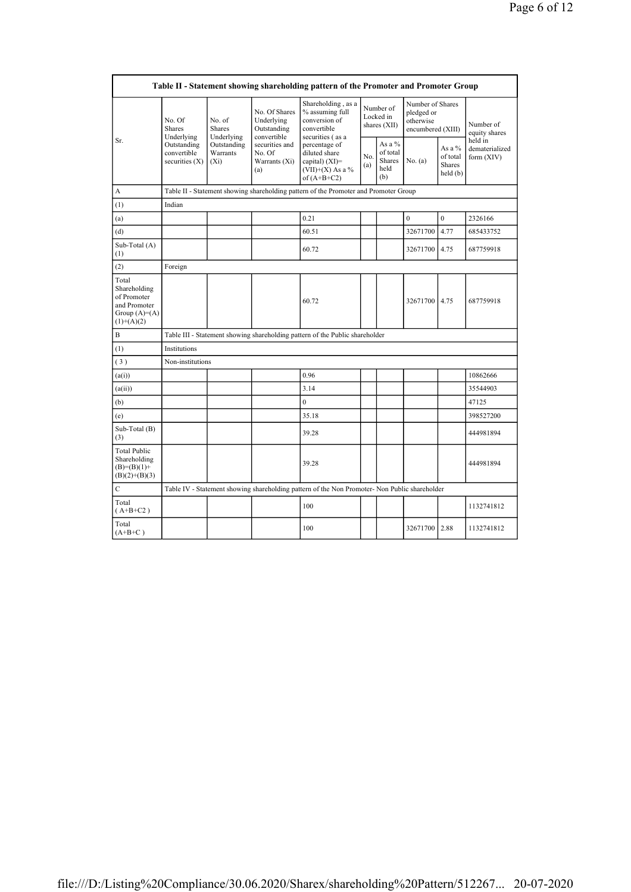|                                                                                        |                                                              |                                       |                                                           | Table II - Statement showing shareholding pattern of the Promoter and Promoter Group          |                                        |                                                      |                                                                  |                                                   |                                           |
|----------------------------------------------------------------------------------------|--------------------------------------------------------------|---------------------------------------|-----------------------------------------------------------|-----------------------------------------------------------------------------------------------|----------------------------------------|------------------------------------------------------|------------------------------------------------------------------|---------------------------------------------------|-------------------------------------------|
|                                                                                        | No. Of<br><b>Shares</b>                                      | No. of<br><b>Shares</b><br>Underlying | No. Of Shares<br>Underlying<br>Outstanding<br>convertible | Shareholding, as a<br>% assuming full<br>conversion of<br>convertible<br>securities (as a     | Number of<br>Locked in<br>shares (XII) |                                                      | Number of Shares<br>pledged or<br>otherwise<br>encumbered (XIII) |                                                   | Number of<br>equity shares                |
| Sr.                                                                                    | Underlying<br>Outstanding<br>convertible<br>securities $(X)$ | Outstanding<br>Warrants<br>$(X_i)$    | securities and<br>No. Of<br>Warrants (Xi)<br>(a)          | percentage of<br>diluted share<br>capital) $(XI)$ =<br>$(VII)+(X)$ As a %<br>of $(A+B+C2)$    | No.<br>(a)                             | As a $%$<br>of total<br><b>Shares</b><br>held<br>(b) | No. $(a)$                                                        | As a $%$<br>of total<br><b>Shares</b><br>held (b) | held in<br>dematerialized<br>form $(XIV)$ |
| A                                                                                      |                                                              |                                       |                                                           | Table II - Statement showing shareholding pattern of the Promoter and Promoter Group          |                                        |                                                      |                                                                  |                                                   |                                           |
| (1)                                                                                    | Indian                                                       |                                       |                                                           |                                                                                               |                                        |                                                      |                                                                  |                                                   |                                           |
| (a)                                                                                    |                                                              |                                       |                                                           | 0.21                                                                                          |                                        |                                                      | $\theta$                                                         | $\theta$                                          | 2326166                                   |
| (d)                                                                                    |                                                              |                                       |                                                           | 60.51                                                                                         |                                        |                                                      | 32671700                                                         | 4.77                                              | 685433752                                 |
| Sub-Total (A)<br>(1)                                                                   |                                                              |                                       |                                                           | 60.72                                                                                         |                                        |                                                      | 32671700 4.75                                                    |                                                   | 687759918                                 |
| (2)                                                                                    | Foreign                                                      |                                       |                                                           |                                                                                               |                                        |                                                      |                                                                  |                                                   |                                           |
| Total<br>Shareholding<br>of Promoter<br>and Promoter<br>Group $(A)=A)$<br>$(1)+(A)(2)$ |                                                              |                                       |                                                           | 60.72                                                                                         |                                        |                                                      | 32671700 4.75                                                    |                                                   | 687759918                                 |
| B                                                                                      |                                                              |                                       |                                                           | Table III - Statement showing shareholding pattern of the Public shareholder                  |                                        |                                                      |                                                                  |                                                   |                                           |
| (1)                                                                                    | Institutions                                                 |                                       |                                                           |                                                                                               |                                        |                                                      |                                                                  |                                                   |                                           |
| (3)                                                                                    | Non-institutions                                             |                                       |                                                           |                                                                                               |                                        |                                                      |                                                                  |                                                   |                                           |
| (a(i))                                                                                 |                                                              |                                       |                                                           | 0.96                                                                                          |                                        |                                                      |                                                                  |                                                   | 10862666                                  |
| (a(ii))                                                                                |                                                              |                                       |                                                           | 3.14                                                                                          |                                        |                                                      |                                                                  |                                                   | 35544903                                  |
| (b)                                                                                    |                                                              |                                       |                                                           | $\overline{0}$                                                                                |                                        |                                                      |                                                                  |                                                   | 47125                                     |
| (e)                                                                                    |                                                              |                                       |                                                           | 35.18                                                                                         |                                        |                                                      |                                                                  |                                                   | 398527200                                 |
| Sub-Total (B)<br>(3)                                                                   |                                                              |                                       |                                                           | 39.28                                                                                         |                                        |                                                      |                                                                  |                                                   | 444981894                                 |
| <b>Total Public</b><br>Shareholding<br>$(B)=(B)(1)+$<br>$(B)(2)+(B)(3)$                |                                                              |                                       |                                                           | 39.28                                                                                         |                                        |                                                      |                                                                  |                                                   | 444981894                                 |
| $\overline{C}$                                                                         |                                                              |                                       |                                                           | Table IV - Statement showing shareholding pattern of the Non Promoter- Non Public shareholder |                                        |                                                      |                                                                  |                                                   |                                           |
| Total<br>$(A+B+C2)$                                                                    |                                                              |                                       |                                                           | 100                                                                                           |                                        |                                                      |                                                                  |                                                   | 1132741812                                |
| Total<br>$(A+B+C)$                                                                     |                                                              |                                       |                                                           | 100                                                                                           |                                        |                                                      | 32671700 2.88                                                    |                                                   | 1132741812                                |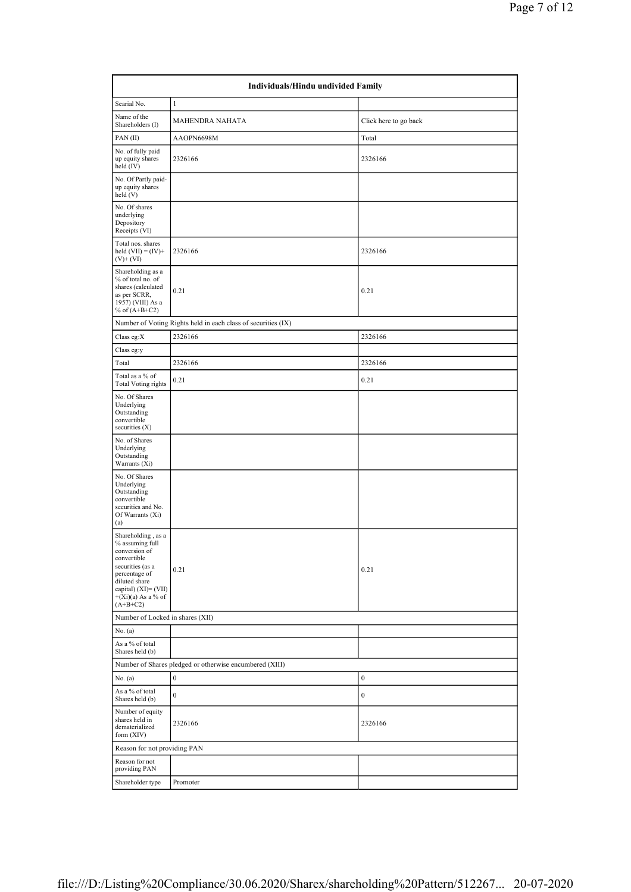|                                                                                                                                                                                              | Individuals/Hindu undivided Family                            |                       |  |  |  |  |  |
|----------------------------------------------------------------------------------------------------------------------------------------------------------------------------------------------|---------------------------------------------------------------|-----------------------|--|--|--|--|--|
| Searial No.                                                                                                                                                                                  | 1                                                             |                       |  |  |  |  |  |
| Name of the<br>Shareholders (I)                                                                                                                                                              | MAHENDRA NAHATA                                               | Click here to go back |  |  |  |  |  |
| PAN(II)                                                                                                                                                                                      | AAOPN6698M                                                    | Total                 |  |  |  |  |  |
| No. of fully paid<br>up equity shares<br>held (IV)                                                                                                                                           | 2326166                                                       | 2326166               |  |  |  |  |  |
| No. Of Partly paid-<br>up equity shares<br>held (V)                                                                                                                                          |                                                               |                       |  |  |  |  |  |
| No. Of shares<br>underlying<br>Depository<br>Receipts (VI)                                                                                                                                   |                                                               |                       |  |  |  |  |  |
| Total nos. shares<br>held $(VII) = (IV) +$<br>$(V)+(VI)$                                                                                                                                     | 2326166                                                       | 2326166               |  |  |  |  |  |
| Shareholding as a<br>% of total no. of<br>shares (calculated<br>as per SCRR,<br>1957) (VIII) As a<br>% of $(A+B+C2)$                                                                         | 0.21                                                          | 0.21                  |  |  |  |  |  |
|                                                                                                                                                                                              | Number of Voting Rights held in each class of securities (IX) |                       |  |  |  |  |  |
| Class eg:X                                                                                                                                                                                   | 2326166                                                       | 2326166               |  |  |  |  |  |
| Class eg:y                                                                                                                                                                                   |                                                               |                       |  |  |  |  |  |
| Total                                                                                                                                                                                        | 2326166                                                       | 2326166               |  |  |  |  |  |
| Total as a % of<br><b>Total Voting rights</b>                                                                                                                                                | 0.21                                                          | 0.21                  |  |  |  |  |  |
| No. Of Shares<br>Underlying<br>Outstanding<br>convertible<br>securities $(X)$                                                                                                                |                                                               |                       |  |  |  |  |  |
| No. of Shares<br>Underlying<br>Outstanding<br>Warrants (Xi)                                                                                                                                  |                                                               |                       |  |  |  |  |  |
| No. Of Shares<br>Underlying<br>Outstanding<br>convertible<br>securities and No.<br>Of Warrants (Xi)<br>(a)                                                                                   |                                                               |                       |  |  |  |  |  |
| Shareholding, as a<br>% assuming full<br>conversion of<br>convertible<br>securities (as a<br>percentage of<br>diluted share<br>capital) $(XI) = (VII)$<br>$+(Xi)(a)$ As a % of<br>$(A+B+C2)$ | 0.21                                                          | 0.21                  |  |  |  |  |  |
| Number of Locked in shares (XII)                                                                                                                                                             |                                                               |                       |  |  |  |  |  |
| No. (a)                                                                                                                                                                                      |                                                               |                       |  |  |  |  |  |
| As a % of total<br>Shares held (b)                                                                                                                                                           |                                                               |                       |  |  |  |  |  |
| Number of Shares pledged or otherwise encumbered (XIII)                                                                                                                                      |                                                               |                       |  |  |  |  |  |
| No. (a)                                                                                                                                                                                      | $\boldsymbol{0}$                                              | $\boldsymbol{0}$      |  |  |  |  |  |
| As a % of total<br>Shares held (b)                                                                                                                                                           | $\boldsymbol{0}$                                              | $\boldsymbol{0}$      |  |  |  |  |  |
| Number of equity<br>shares held in<br>dematerialized<br>form (XIV)                                                                                                                           | 2326166                                                       | 2326166               |  |  |  |  |  |
| Reason for not providing PAN                                                                                                                                                                 |                                                               |                       |  |  |  |  |  |
| Reason for not<br>providing PAN                                                                                                                                                              |                                                               |                       |  |  |  |  |  |
| Shareholder type                                                                                                                                                                             | Promoter                                                      |                       |  |  |  |  |  |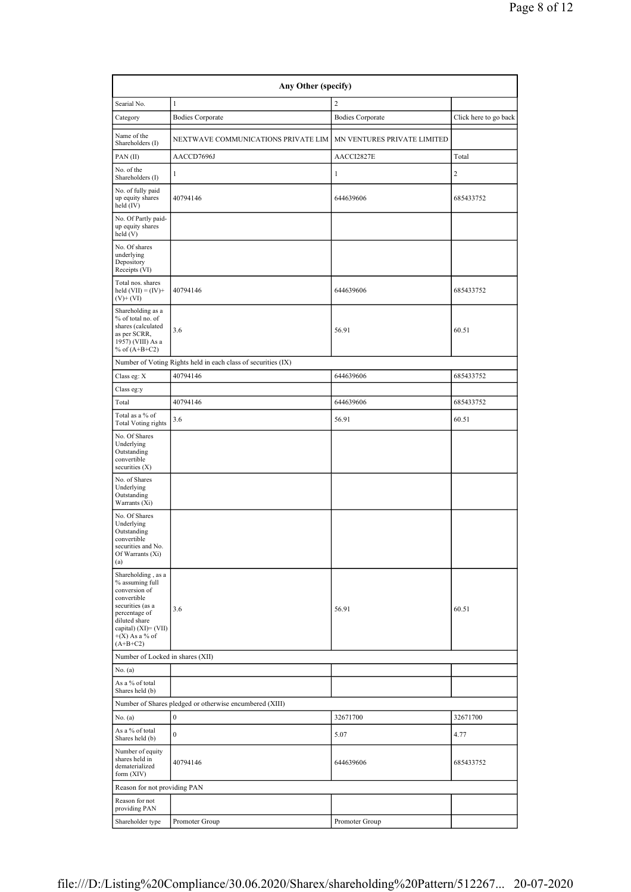| Any Other (specify)                                                                                                                                                                      |                                                               |                             |                       |  |  |  |  |
|------------------------------------------------------------------------------------------------------------------------------------------------------------------------------------------|---------------------------------------------------------------|-----------------------------|-----------------------|--|--|--|--|
| Searial No.                                                                                                                                                                              | $\mathbf{1}$                                                  | $\overline{c}$              |                       |  |  |  |  |
| Category                                                                                                                                                                                 | <b>Bodies Corporate</b>                                       | <b>Bodies Corporate</b>     | Click here to go back |  |  |  |  |
| Name of the<br>Shareholders (I)                                                                                                                                                          | NEXTWAVE COMMUNICATIONS PRIVATE LIM                           | MN VENTURES PRIVATE LIMITED |                       |  |  |  |  |
| PAN $(II)$                                                                                                                                                                               | AACCD7696J                                                    | AACCI2827E                  | Total                 |  |  |  |  |
| No. of the<br>Shareholders (I)                                                                                                                                                           | 1                                                             | $\mathbf{1}$                | $\sqrt{2}$            |  |  |  |  |
| No. of fully paid<br>up equity shares<br>held $(IV)$                                                                                                                                     | 40794146                                                      | 644639606                   | 685433752             |  |  |  |  |
| No. Of Partly paid-<br>up equity shares<br>held(V)                                                                                                                                       |                                                               |                             |                       |  |  |  |  |
| No. Of shares<br>underlying<br>Depository<br>Receipts (VI)                                                                                                                               |                                                               |                             |                       |  |  |  |  |
| Total nos. shares<br>held $(VII) = (IV) +$<br>$(V)+(VI)$                                                                                                                                 | 40794146                                                      | 644639606                   | 685433752             |  |  |  |  |
| Shareholding as a<br>% of total no. of<br>shares (calculated<br>as per SCRR,<br>1957) (VIII) As a<br>% of $(A+B+C2)$                                                                     | 3.6                                                           | 56.91                       | 60.51                 |  |  |  |  |
|                                                                                                                                                                                          | Number of Voting Rights held in each class of securities (IX) |                             |                       |  |  |  |  |
| Class eg: X                                                                                                                                                                              | 40794146                                                      | 644639606                   | 685433752             |  |  |  |  |
| Class eg:y                                                                                                                                                                               |                                                               |                             |                       |  |  |  |  |
| Total                                                                                                                                                                                    | 40794146                                                      | 644639606                   | 685433752             |  |  |  |  |
| Total as a % of<br><b>Total Voting rights</b>                                                                                                                                            | 3.6                                                           | 56.91                       | 60.51                 |  |  |  |  |
| No. Of Shares<br>Underlying<br>Outstanding<br>convertible<br>securities $(X)$                                                                                                            |                                                               |                             |                       |  |  |  |  |
| No. of Shares<br>Underlying<br>Outstanding<br>Warrants (Xi)                                                                                                                              |                                                               |                             |                       |  |  |  |  |
| No. Of Shares<br>Underlying<br>Outstanding<br>convertible<br>securities and No.<br>Of Warrants (Xi)<br>(a)                                                                               |                                                               |                             |                       |  |  |  |  |
| Shareholding, as a<br>% assuming full<br>conversion of<br>convertible<br>securities (as a<br>percentage of<br>diluted share<br>capital) $(XI) = (VII)$<br>$+(X)$ As a % of<br>$(A+B+C2)$ | 3.6                                                           | 56.91                       | 60.51                 |  |  |  |  |
| Number of Locked in shares (XII)                                                                                                                                                         |                                                               |                             |                       |  |  |  |  |
| No. (a)                                                                                                                                                                                  |                                                               |                             |                       |  |  |  |  |
| As a % of total<br>Shares held (b)                                                                                                                                                       |                                                               |                             |                       |  |  |  |  |
|                                                                                                                                                                                          | Number of Shares pledged or otherwise encumbered (XIII)       |                             |                       |  |  |  |  |
| No. (a)<br>As a % of total                                                                                                                                                               | $\boldsymbol{0}$<br>$\overline{0}$                            | 32671700<br>5.07            | 32671700<br>4.77      |  |  |  |  |
| Shares held (b)<br>Number of equity<br>shares held in<br>dematerialized<br>form $(XIV)$                                                                                                  | 40794146                                                      | 644639606                   | 685433752             |  |  |  |  |
| Reason for not providing PAN                                                                                                                                                             |                                                               |                             |                       |  |  |  |  |
| Reason for not<br>providing PAN                                                                                                                                                          |                                                               |                             |                       |  |  |  |  |
| Shareholder type                                                                                                                                                                         | Promoter Group                                                | Promoter Group              |                       |  |  |  |  |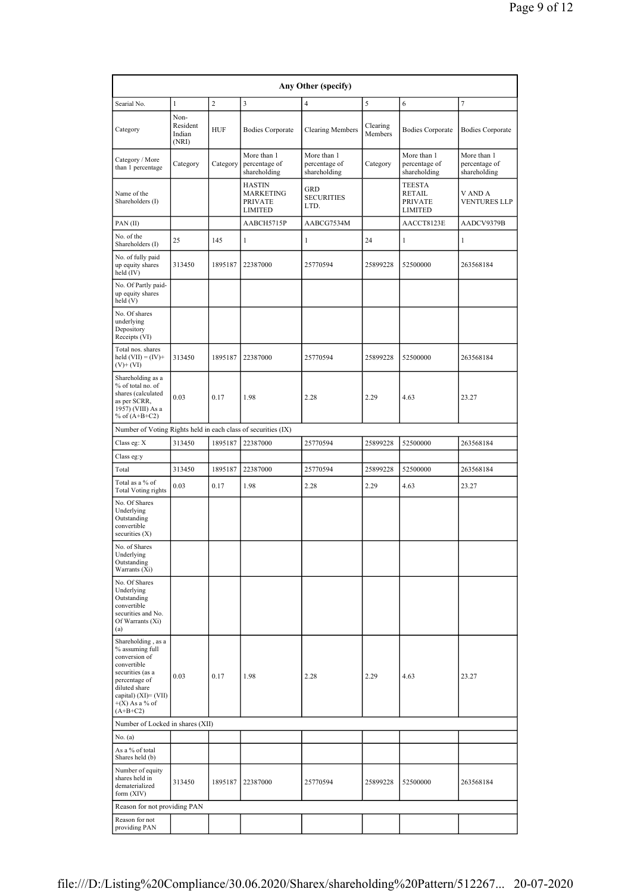| Any Other (specify)                                                                                                                                                                      |                                     |                |                                                                |                                              |                     |                                                                    |                                              |
|------------------------------------------------------------------------------------------------------------------------------------------------------------------------------------------|-------------------------------------|----------------|----------------------------------------------------------------|----------------------------------------------|---------------------|--------------------------------------------------------------------|----------------------------------------------|
| Searial No.                                                                                                                                                                              | $\mathbf{1}$                        | $\overline{c}$ | 3                                                              | 4                                            | 5                   | 6                                                                  | $\tau$                                       |
| Category                                                                                                                                                                                 | Non-<br>Resident<br>Indian<br>(NRI) | <b>HUF</b>     | <b>Bodies Corporate</b>                                        | <b>Clearing Members</b>                      | Clearing<br>Members | <b>Bodies Corporate</b>                                            | <b>Bodies Corporate</b>                      |
| Category / More<br>than 1 percentage                                                                                                                                                     | Category                            | Category       | More than 1<br>percentage of<br>shareholding                   | More than 1<br>percentage of<br>shareholding | Category            | More than 1<br>percentage of<br>shareholding                       | More than 1<br>percentage of<br>shareholding |
| Name of the<br>Shareholders (I)                                                                                                                                                          |                                     |                | <b>HASTIN</b><br>MARKETING<br><b>PRIVATE</b><br><b>LIMITED</b> | GRD<br><b>SECURITIES</b><br>LTD.             |                     | <b>TEESTA</b><br><b>RETAIL</b><br><b>PRIVATE</b><br><b>LIMITED</b> | V AND A<br><b>VENTURES LLP</b>               |
| PAN(II)                                                                                                                                                                                  |                                     |                | AABCH5715P                                                     | AABCG7534M                                   |                     | AACCT8123E                                                         | AADCV9379B                                   |
| No. of the<br>Shareholders (I)                                                                                                                                                           | 25                                  | 145            | $\mathbf{1}$                                                   | 1                                            | 24                  | $\mathbf{1}$                                                       | $\mathbf{1}$                                 |
| No. of fully paid<br>up equity shares<br>held (IV)                                                                                                                                       | 313450                              | 1895187        | 22387000                                                       | 25770594                                     | 25899228            | 52500000                                                           | 263568184                                    |
| No. Of Partly paid-<br>up equity shares<br>held (V)                                                                                                                                      |                                     |                |                                                                |                                              |                     |                                                                    |                                              |
| No. Of shares<br>underlying<br>Depository<br>Receipts (VI)                                                                                                                               |                                     |                |                                                                |                                              |                     |                                                                    |                                              |
| Total nos. shares<br>held $(VII) = (IV) +$<br>$(V)$ + $(VI)$                                                                                                                             | 313450                              | 1895187        | 22387000                                                       | 25770594                                     | 25899228            | 52500000                                                           | 263568184                                    |
| Shareholding as a<br>% of total no. of<br>shares (calculated<br>as per SCRR,<br>1957) (VIII) As a<br>% of $(A+B+C2)$                                                                     | 0.03                                | 0.17           | 1.98                                                           | 2.28                                         | 2.29                | 4.63                                                               | 23.27                                        |
| Number of Voting Rights held in each class of securities (IX)                                                                                                                            |                                     |                |                                                                |                                              |                     |                                                                    |                                              |
| Class eg: X                                                                                                                                                                              | 313450                              | 1895187        | 22387000                                                       | 25770594                                     | 25899228            | 52500000                                                           | 263568184                                    |
| Class eg:y                                                                                                                                                                               | 313450                              | 1895187        | 22387000                                                       | 25770594                                     | 25899228            | 52500000                                                           | 263568184                                    |
| Total<br>Total as a % of<br><b>Total Voting rights</b>                                                                                                                                   | 0.03                                | 0.17           | 1.98                                                           | 2.28                                         | 2.29                | 4.63                                                               | 23.27                                        |
| No. Of Shares<br>Underlying<br>Outstanding<br>convertible<br>securities $(X)$                                                                                                            |                                     |                |                                                                |                                              |                     |                                                                    |                                              |
| No. of Shares<br>Underlying<br>Outstanding<br>Warrants (Xi)                                                                                                                              |                                     |                |                                                                |                                              |                     |                                                                    |                                              |
| No. Of Shares<br>Underlying<br>Outstanding<br>convertible<br>securities and No.<br>Of Warrants (Xi)<br>(a)                                                                               |                                     |                |                                                                |                                              |                     |                                                                    |                                              |
| Shareholding, as a<br>% assuming full<br>conversion of<br>convertible<br>securities (as a<br>percentage of<br>diluted share<br>capital) $(XI) = (VII)$<br>$+(X)$ As a % of<br>$(A+B+C2)$ | 0.03                                | 0.17           | 1.98                                                           | 2.28                                         | 2.29                | 4.63                                                               | 23.27                                        |
| Number of Locked in shares (XII)                                                                                                                                                         |                                     |                |                                                                |                                              |                     |                                                                    |                                              |
| No. (a)                                                                                                                                                                                  |                                     |                |                                                                |                                              |                     |                                                                    |                                              |
| As a % of total<br>Shares held (b)                                                                                                                                                       |                                     |                |                                                                |                                              |                     |                                                                    |                                              |
| Number of equity<br>shares held in<br>dematerialized<br>form (XIV)                                                                                                                       | 313450                              | 1895187        | 22387000                                                       | 25770594                                     | 25899228            | 52500000                                                           | 263568184                                    |
| Reason for not providing PAN                                                                                                                                                             |                                     |                |                                                                |                                              |                     |                                                                    |                                              |
| Reason for not<br>providing PAN                                                                                                                                                          |                                     |                |                                                                |                                              |                     |                                                                    |                                              |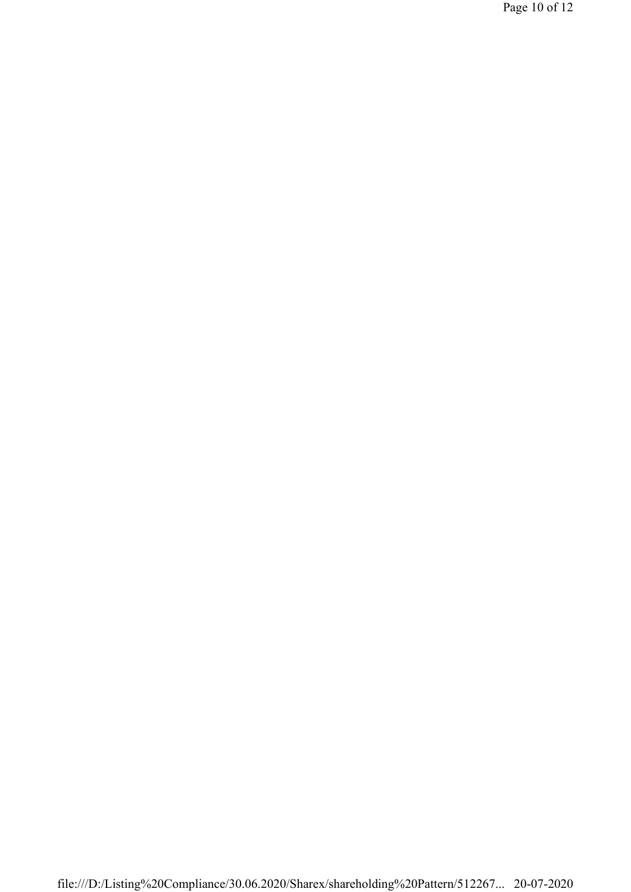Page 10 of 12